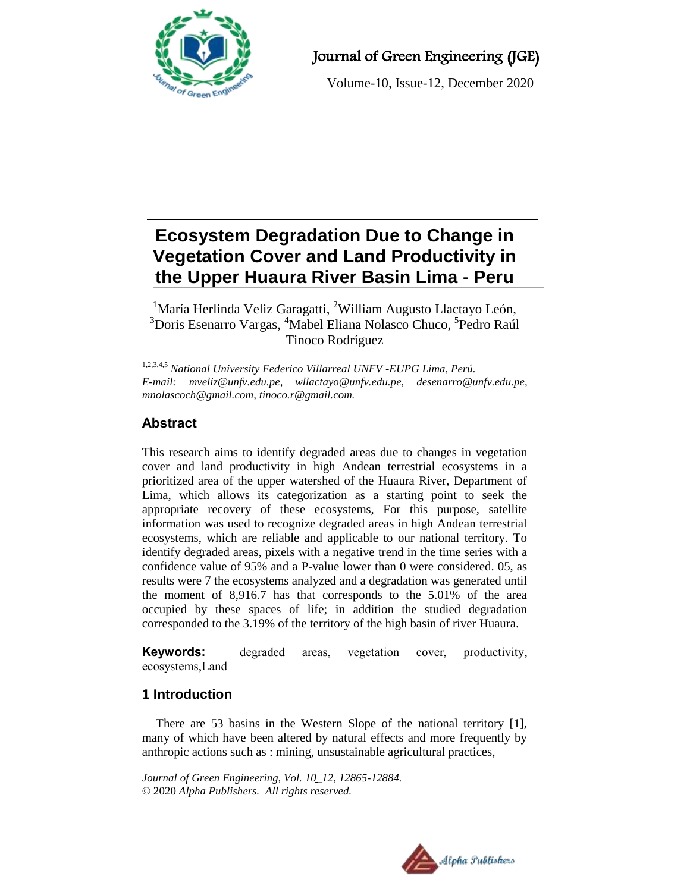

# Journal of Green Engineering (JGE)

Volume-10, Issue-12, December 2020

# **Ecosystem Degradation Due to Change in Vegetation Cover and Land Productivity in the Upper Huaura River Basin Lima - Peru**

<sup>1</sup>María Herlinda Veliz Garagatti, <sup>2</sup>William Augusto Llactayo León, <sup>3</sup>Doris Esenarro Vargas, <sup>4</sup>Mabel Eliana Nolasco Chuco, <sup>5</sup>Pedro Raúl Tinoco Rodríguez

1,2,3,4,5 *National University Federico Villarreal UNFV -EUPG Lima, Perú. E-mail: [mveliz@unfv.edu.pe,](mailto:mveliz@unfv.edu.pe) wllactayo@unfv.edu.pe, [desenarro@unfv.edu.pe,](mailto:desenarro@unfv.edu.pe) [mnolascoch@gmail.com,](mailto:mnolascoch@gmail.com) tinoco.r@gmail.com.*

# **Abstract**

This research aims to identify degraded areas due to changes in vegetation cover and land productivity in high Andean terrestrial ecosystems in a prioritized area of the upper watershed of the Huaura River, Department of Lima, which allows its categorization as a starting point to seek the appropriate recovery of these ecosystems, For this purpose, satellite information was used to recognize degraded areas in high Andean terrestrial ecosystems, which are reliable and applicable to our national territory. To identify degraded areas, pixels with a negative trend in the time series with a confidence value of 95% and a P-value lower than 0 were considered. 05, as results were 7 the ecosystems analyzed and a degradation was generated until the moment of 8,916.7 has that corresponds to the 5.01% of the area occupied by these spaces of life; in addition the studied degradation corresponded to the 3.19% of the territory of the high basin of river Huaura.

**Keywords:** degraded areas, vegetation cover, productivity, ecosystems,Land

# **1 Introduction**

There are 53 basins in the Western Slope of the national territory [1], many of which have been altered by natural effects and more frequently by anthropic actions such as : mining, unsustainable agricultural practices,

*Journal of Green Engineering, Vol. 10\_12, 12865-12884.* © 2020 *Alpha Publishers. All rights reserved.*

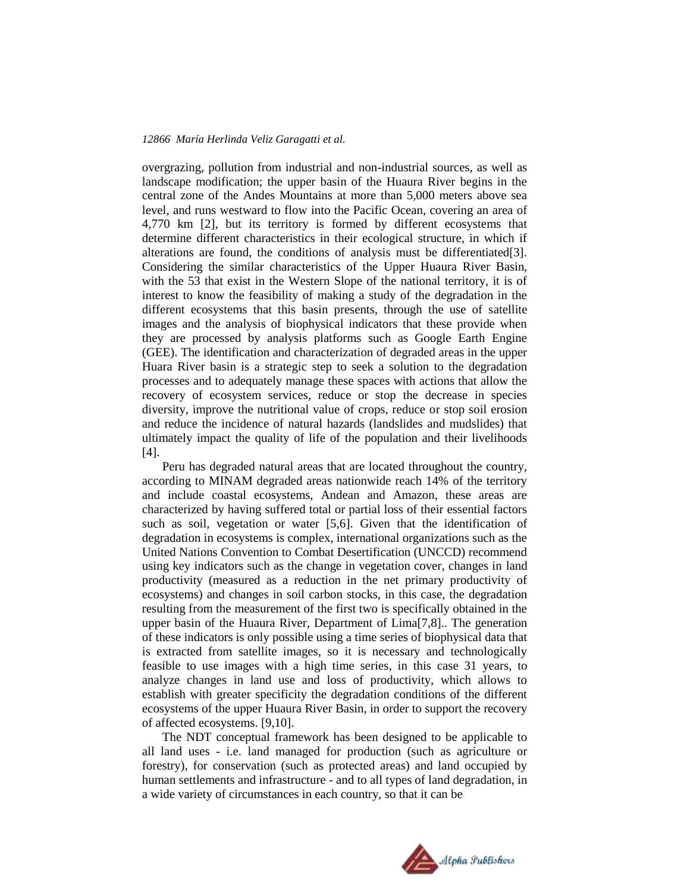overgrazing, pollution from industrial and non-industrial sources, as well as landscape modification; the upper basin of the Huaura River begins in the central zone of the Andes Mountains at more than 5,000 meters above sea level, and runs westward to flow into the Pacific Ocean, covering an area of 4,770 km [2], but its territory is formed by different ecosystems that determine different characteristics in their ecological structure, in which if alterations are found, the conditions of analysis must be differentiated[3]. Considering the similar characteristics of the Upper Huaura River Basin, with the 53 that exist in the Western Slope of the national territory, it is of interest to know the feasibility of making a study of the degradation in the different ecosystems that this basin presents, through the use of satellite images and the analysis of biophysical indicators that these provide when they are processed by analysis platforms such as Google Earth Engine (GEE). The identification and characterization of degraded areas in the upper Huara River basin is a strategic step to seek a solution to the degradation processes and to adequately manage these spaces with actions that allow the recovery of ecosystem services, reduce or stop the decrease in species diversity, improve the nutritional value of crops, reduce or stop soil erosion and reduce the incidence of natural hazards (landslides and mudslides) that ultimately impact the quality of life of the population and their livelihoods [4].

Peru has degraded natural areas that are located throughout the country, according to MINAM degraded areas nationwide reach 14% of the territory and include coastal ecosystems, Andean and Amazon, these areas are characterized by having suffered total or partial loss of their essential factors such as soil, vegetation or water [5,6]. Given that the identification of degradation in ecosystems is complex, international organizations such as the United Nations Convention to Combat Desertification (UNCCD) recommend using key indicators such as the change in vegetation cover, changes in land productivity (measured as a reduction in the net primary productivity of ecosystems) and changes in soil carbon stocks, in this case, the degradation resulting from the measurement of the first two is specifically obtained in the upper basin of the Huaura River, Department of Lima[7,8].. The generation of these indicators is only possible using a time series of biophysical data that is extracted from satellite images, so it is necessary and technologically feasible to use images with a high time series, in this case 31 years, to analyze changes in land use and loss of productivity, which allows to establish with greater specificity the degradation conditions of the different ecosystems of the upper Huaura River Basin, in order to support the recovery of affected ecosystems. [9,10].

The NDT conceptual framework has been designed to be applicable to all land uses - i.e. land managed for production (such as agriculture or forestry), for conservation (such as protected areas) and land occupied by human settlements and infrastructure - and to all types of land degradation, in a wide variety of circumstances in each country, so that it can be

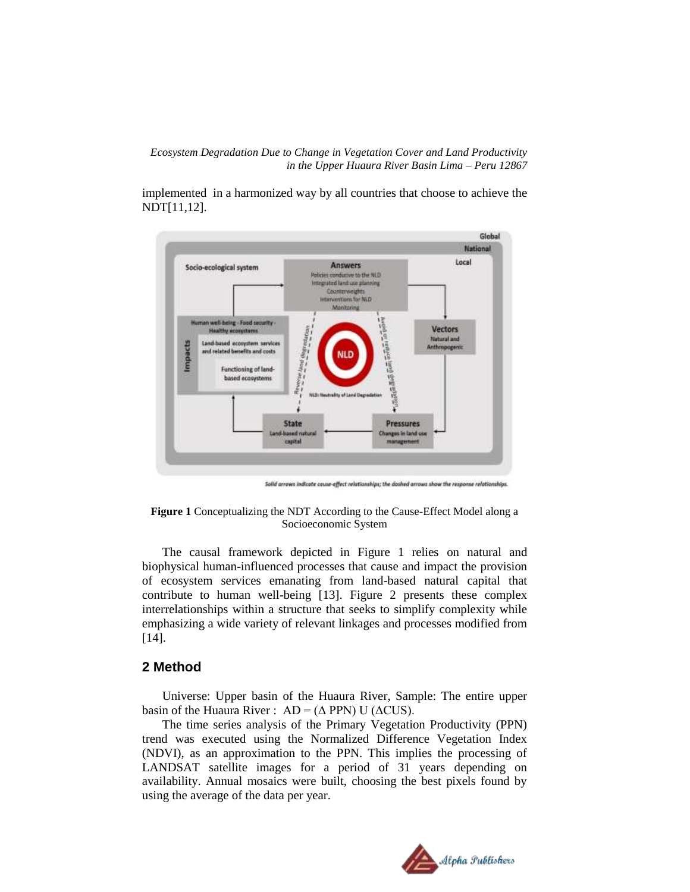implemented in a harmonized way by all countries that choose to achieve the NDT[11,12].



Solid arrows indicate cause-effect relationships; the doshed arrows show the respo nse relationships.



The causal framework depicted in Figure 1 relies on natural and biophysical human-influenced processes that cause and impact the provision of ecosystem services emanating from land-based natural capital that contribute to human well-being [13]. Figure 2 presents these complex interrelationships within a structure that seeks to simplify complexity while emphasizing a wide variety of relevant linkages and processes modified from [14].

### **2 Method**

Universe: Upper basin of the Huaura River, Sample: The entire upper basin of the Huaura River :  $AD = (\Delta PPN)$  U ( $\Delta CUS$ ).

The time series analysis of the Primary Vegetation Productivity (PPN) trend was executed using the Normalized Difference Vegetation Index (NDVI), as an approximation to the PPN. This implies the processing of LANDSAT satellite images for a period of 31 years depending on availability. Annual mosaics were built, choosing the best pixels found by using the average of the data per year.

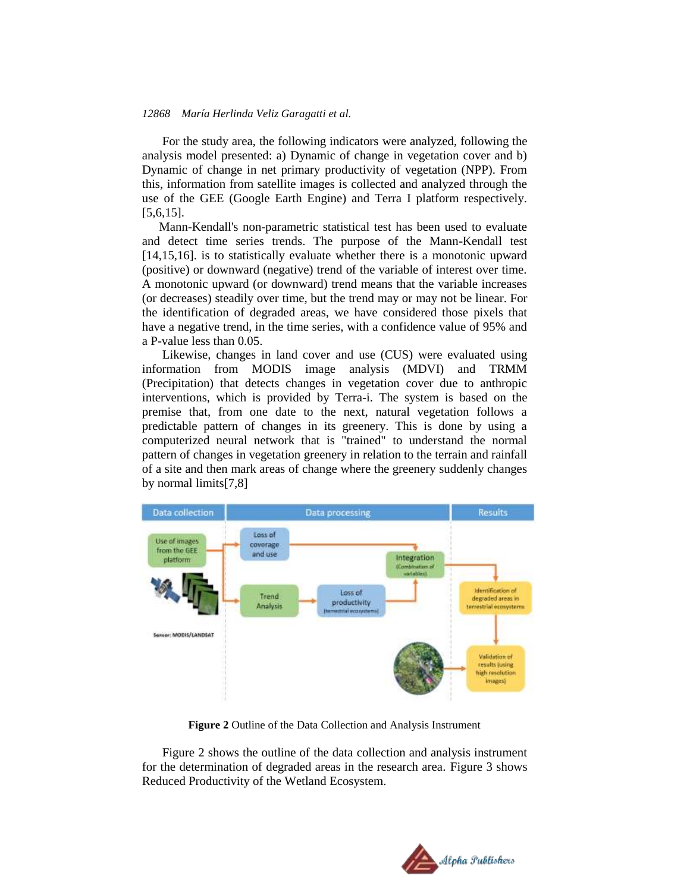For the study area, the following indicators were analyzed, following the analysis model presented: a) Dynamic of change in vegetation cover and b) Dynamic of change in net primary productivity of vegetation (NPP). From this, information from satellite images is collected and analyzed through the use of the GEE (Google Earth Engine) and Terra I platform respectively. [5,6,15].

Mann-Kendall's non-parametric statistical test has been used to evaluate and detect time series trends. The purpose of the Mann-Kendall test [14,15,16]. is to statistically evaluate whether there is a monotonic upward (positive) or downward (negative) trend of the variable of interest over time. A monotonic upward (or downward) trend means that the variable increases (or decreases) steadily over time, but the trend may or may not be linear. For the identification of degraded areas, we have considered those pixels that have a negative trend, in the time series, with a confidence value of 95% and a P-value less than 0.05.

Likewise, changes in land cover and use (CUS) were evaluated using information from MODIS image analysis (MDVI) and TRMM (Precipitation) that detects changes in vegetation cover due to anthropic interventions, which is provided by Terra-i. The system is based on the premise that, from one date to the next, natural vegetation follows a predictable pattern of changes in its greenery. This is done by using a computerized neural network that is "trained" to understand the normal pattern of changes in vegetation greenery in relation to the terrain and rainfall of a site and then mark areas of change where the greenery suddenly changes by normal limits[7,8]



**Figure 2** Outline of the Data Collection and Analysis Instrument

Figure 2 shows the outline of the data collection and analysis instrument for the determination of degraded areas in the research area. Figure 3 shows Reduced Productivity of the Wetland Ecosystem.

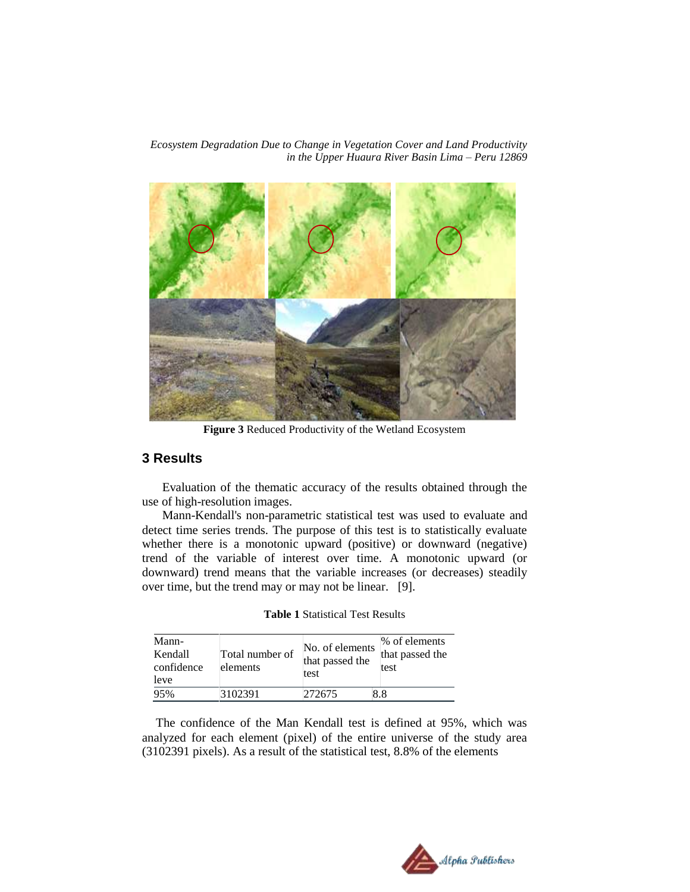

**Figure 3** Reduced Productivity of the Wetland Ecosystem

# **3 Results**

Evaluation of the thematic accuracy of the results obtained through the use of high-resolution images.

Mann-Kendall's non-parametric statistical test was used to evaluate and detect time series trends. The purpose of this test is to statistically evaluate whether there is a monotonic upward (positive) or downward (negative) trend of the variable of interest over time. A monotonic upward (or downward) trend means that the variable increases (or decreases) steadily over time, but the trend may or may not be linear. [9].

**Table 1** Statistical Test Results

| Mann-<br>Kendall<br>confidence<br>leve | Total number of<br>elements | No. of elements<br>that passed the<br>test | % of elements<br>that passed the<br>test |
|----------------------------------------|-----------------------------|--------------------------------------------|------------------------------------------|
| 95%                                    | 3102391                     | 272675                                     | 8.8                                      |

The confidence of the Man Kendall test is defined at 95%, which was analyzed for each element (pixel) of the entire universe of the study area (3102391 pixels). As a result of the statistical test, 8.8% of the elements

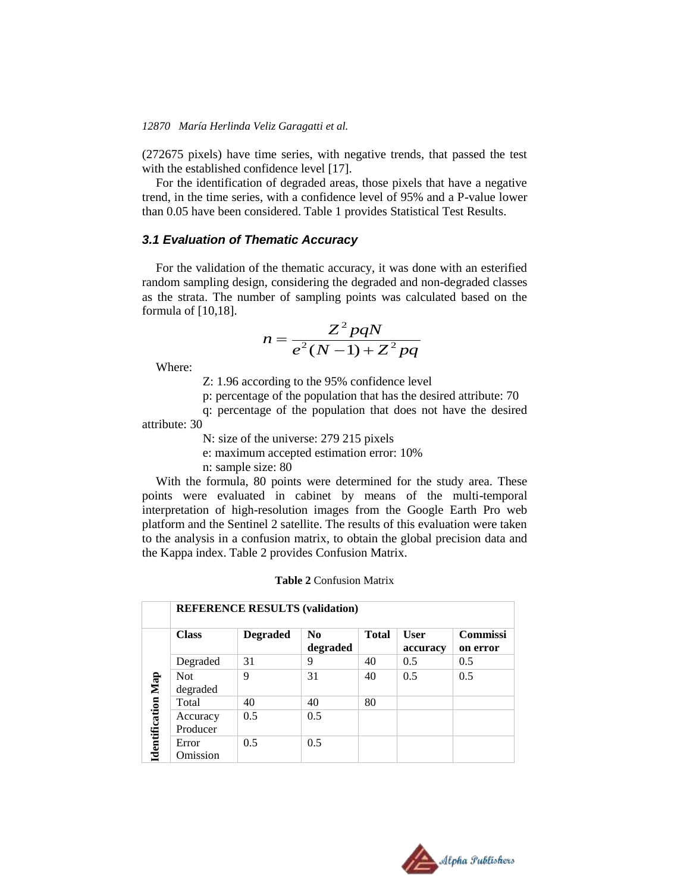(272675 pixels) have time series, with negative trends, that passed the test with the established confidence level [17].

For the identification of degraded areas, those pixels that have a negative trend, in the time series, with a confidence level of 95% and a P-value lower than 0.05 have been considered. Table 1 provides Statistical Test Results.

#### *3.1 Evaluation of Thematic Accuracy*

For the validation of the thematic accuracy, it was done with an esterified random sampling design, considering the degraded and non-degraded classes as the strata. The number of sampling points was calculated based on the formula of [10,18].

$$
n = \frac{Z^2 pqN}{e^2(N-1) + Z^2 pq}
$$

Where:

Z: 1.96 according to the 95% confidence level

p: percentage of the population that has the desired attribute: 70

q: percentage of the population that does not have the desired attribute: 30

N: size of the universe: 279 215 pixels

e: maximum accepted estimation error: 10%

n: sample size: 80

With the formula, 80 points were determined for the study area. These points were evaluated in cabinet by means of the multi-temporal interpretation of high-resolution images from the Google Earth Pro web platform and the Sentinel 2 satellite. The results of this evaluation were taken to the analysis in a confusion matrix, to obtain the global precision data and the Kappa index. Table 2 provides Confusion Matrix.

|  | <b>Table 2 Confusion Matrix</b> |  |
|--|---------------------------------|--|
|--|---------------------------------|--|

|                           | <b>REFERENCE RESULTS (validation)</b> |                 |                            |              |                         |                             |
|---------------------------|---------------------------------------|-----------------|----------------------------|--------------|-------------------------|-----------------------------|
|                           | <b>Class</b>                          | <b>Degraded</b> | N <sub>0</sub><br>degraded | <b>Total</b> | <b>User</b><br>accuracy | <b>Commissi</b><br>on error |
|                           | Degraded                              | 31              | 9                          | 40           | 0.5                     | 0.5                         |
|                           | <b>Not</b><br>degraded                | 9               | 31                         | 40           | 0.5                     | 0.5                         |
|                           | Total                                 | 40              | 40                         | 80           |                         |                             |
| <b>Identification Map</b> | Accuracy<br>Producer                  | 0.5             | 0.5                        |              |                         |                             |
|                           | Error<br>Omission                     | 0.5             | 0.5                        |              |                         |                             |

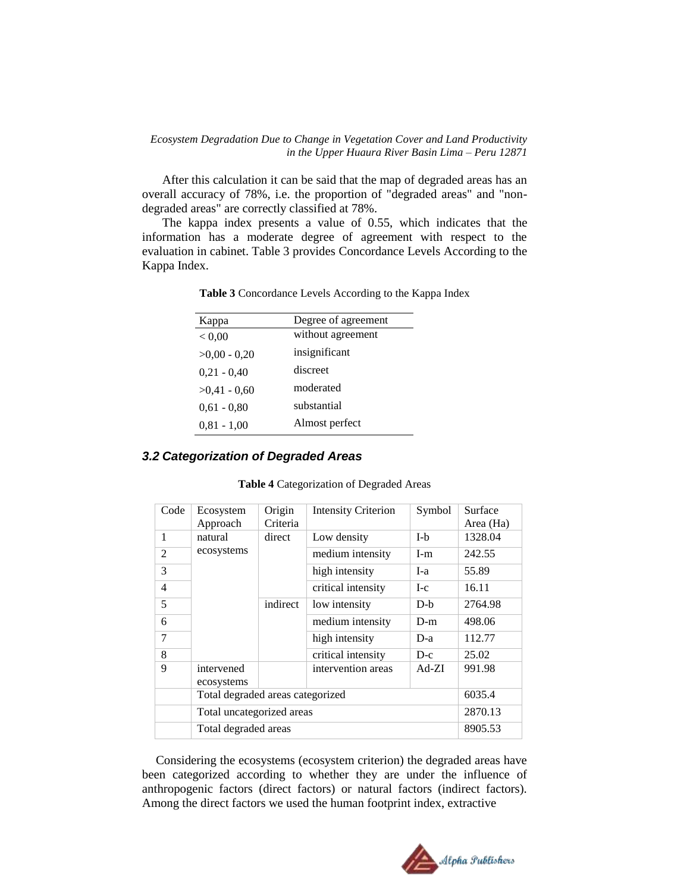After this calculation it can be said that the map of degraded areas has an overall accuracy of 78%, i.e. the proportion of "degraded areas" and "nondegraded areas" are correctly classified at 78%.

The kappa index presents a value of 0.55, which indicates that the information has a moderate degree of agreement with respect to the evaluation in cabinet. Table 3 provides Concordance Levels According to the Kappa Index.

| Kappa          | Degree of agreement |
|----------------|---------------------|
| < 0.00         | without agreement   |
| $>0.00 - 0.20$ | insignificant       |
| $0.21 - 0.40$  | discreet            |
| $>0.41 - 0.60$ | moderated           |
| $0.61 - 0.80$  | substantial         |
| $0,81 - 1,00$  | Almost perfect      |

**Table 3** Concordance Levels According to the Kappa Index

#### *3.2 Categorization of Degraded Areas*

| Code           | Ecosystem<br>Approach            | Origin<br>Criteria | <b>Intensity Criterion</b> | Symbol  | Surface<br>Area (Ha) |
|----------------|----------------------------------|--------------------|----------------------------|---------|----------------------|
| 1              | natural                          | direct             | Low density                | $I-b$   | 1328.04              |
| $\overline{2}$ | ecosystems                       |                    | medium intensity           | $I-m$   | 242.55               |
| 3              |                                  |                    | high intensity             | I-a     | 55.89                |
| $\overline{4}$ |                                  |                    | critical intensity         | $I-c$   | 16.11                |
| 5              |                                  | indirect           | low intensity              | $D-h$   | 2764.98              |
| 6              |                                  |                    | medium intensity           | $D-m$   | 498.06               |
| 7              |                                  |                    | high intensity             | $D-a$   | 112.77               |
| 8              |                                  |                    | critical intensity         | $D-c$   | 25.02                |
| 9              | intervened<br>ecosystems         |                    | intervention areas         | $Ad-ZI$ | 991.98               |
|                | Total degraded areas categorized |                    |                            | 6035.4  |                      |
|                | Total uncategorized areas        |                    |                            | 2870.13 |                      |
|                | Total degraded areas             |                    |                            | 8905.53 |                      |

Considering the ecosystems (ecosystem criterion) the degraded areas have been categorized according to whether they are under the influence of anthropogenic factors (direct factors) or natural factors (indirect factors). Among the direct factors we used the human footprint index, extractive

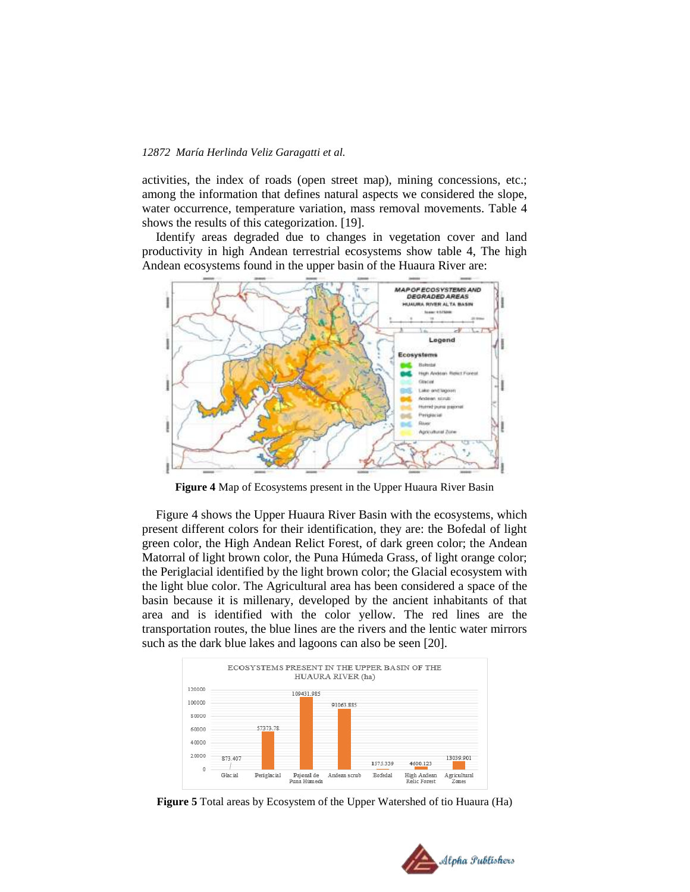activities, the index of roads (open street map), mining concessions, etc.; among the information that defines natural aspects we considered the slope, water occurrence, temperature variation, mass removal movements. Table 4 shows the results of this categorization. [19].

Identify areas degraded due to changes in vegetation cover and land productivity in high Andean terrestrial ecosystems show table 4, The high Andean ecosystems found in the upper basin of the Huaura River are:



**Figure 4** Map of Ecosystems present in the Upper Huaura River Basin

Figure 4 shows the Upper Huaura River Basin with the ecosystems, which present different colors for their identification, they are: the Bofedal of light green color, the High Andean Relict Forest, of dark green color; the Andean Matorral of light brown color, the Puna Húmeda Grass, of light orange color; the Periglacial identified by the light brown color; the Glacial ecosystem with the light blue color. The Agricultural area has been considered a space of the basin because it is millenary, developed by the ancient inhabitants of that area and is identified with the color yellow. The red lines are the transportation routes, the blue lines are the rivers and the lentic water mirrors such as the dark blue lakes and lagoons can also be seen [20].



**Figure 5** Total areas by Ecosystem of the Upper Watershed of tio Huaura (Ha)

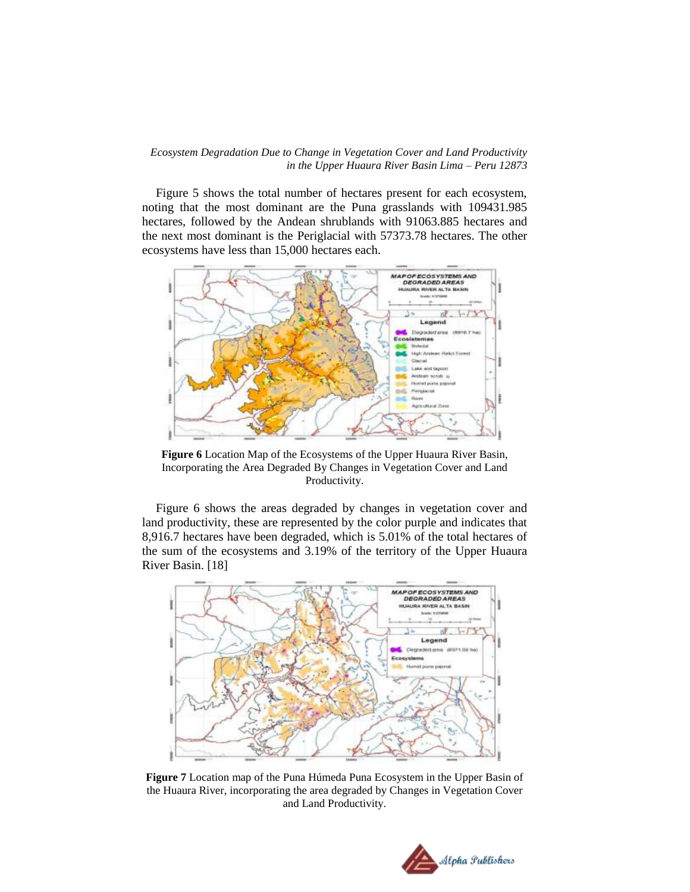Figure 5 shows the total number of hectares present for each ecosystem, noting that the most dominant are the Puna grasslands with 109431.985 hectares, followed by the Andean shrublands with 91063.885 hectares and the next most dominant is the Periglacial with 57373.78 hectares. The other ecosystems have less than 15,000 hectares each.



**Figure 6** Location Map of the Ecosystems of the Upper Huaura River Basin, Incorporating the Area Degraded By Changes in Vegetation Cover and Land Productivity.

Figure 6 shows the areas degraded by changes in vegetation cover and land productivity, these are represented by the color purple and indicates that 8,916.7 hectares have been degraded, which is 5.01% of the total hectares of the sum of the ecosystems and 3.19% of the territory of the Upper Huaura River Basin. [18]



**Figure 7** Location map of the Puna Húmeda Puna Ecosystem in the Upper Basin of the Huaura River, incorporating the area degraded by Changes in Vegetation Cover and Land Productivity.

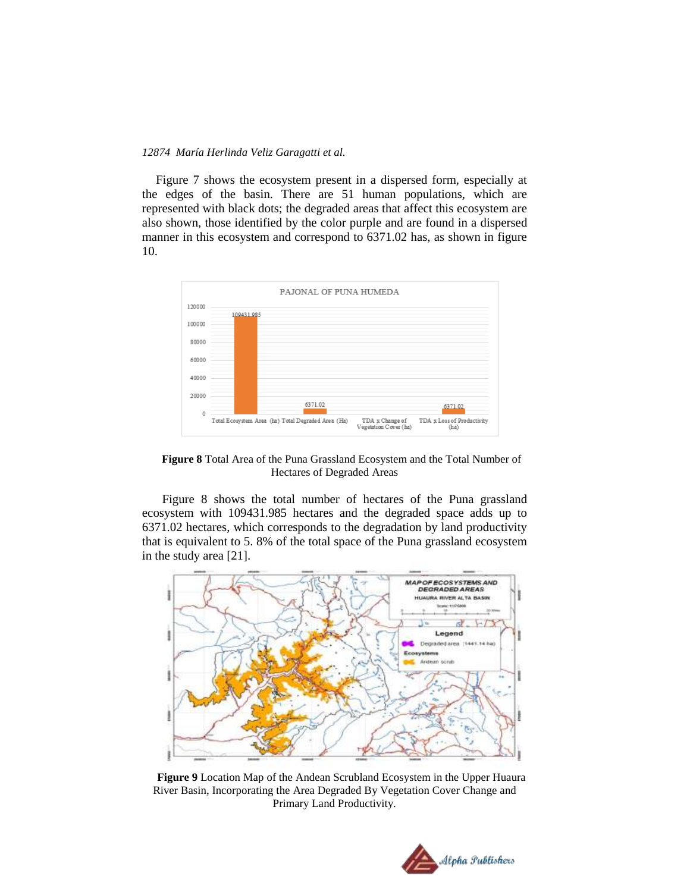Figure 7 shows the ecosystem present in a dispersed form, especially at the edges of the basin. There are 51 human populations, which are represented with black dots; the degraded areas that affect this ecosystem are also shown, those identified by the color purple and are found in a dispersed manner in this ecosystem and correspond to 6371.02 has, as shown in figure 10.



**Figure 8** Total Area of the Puna Grassland Ecosystem and the Total Number of Hectares of Degraded Areas

 Figure 8 shows the total number of hectares of the Puna grassland ecosystem with 109431.985 hectares and the degraded space adds up to 6371.02 hectares, which corresponds to the degradation by land productivity that is equivalent to 5. 8% of the total space of the Puna grassland ecosystem in the study area [21].



**Figure 9** Location Map of the Andean Scrubland Ecosystem in the Upper Huaura River Basin, Incorporating the Area Degraded By Vegetation Cover Change and Primary Land Productivity.

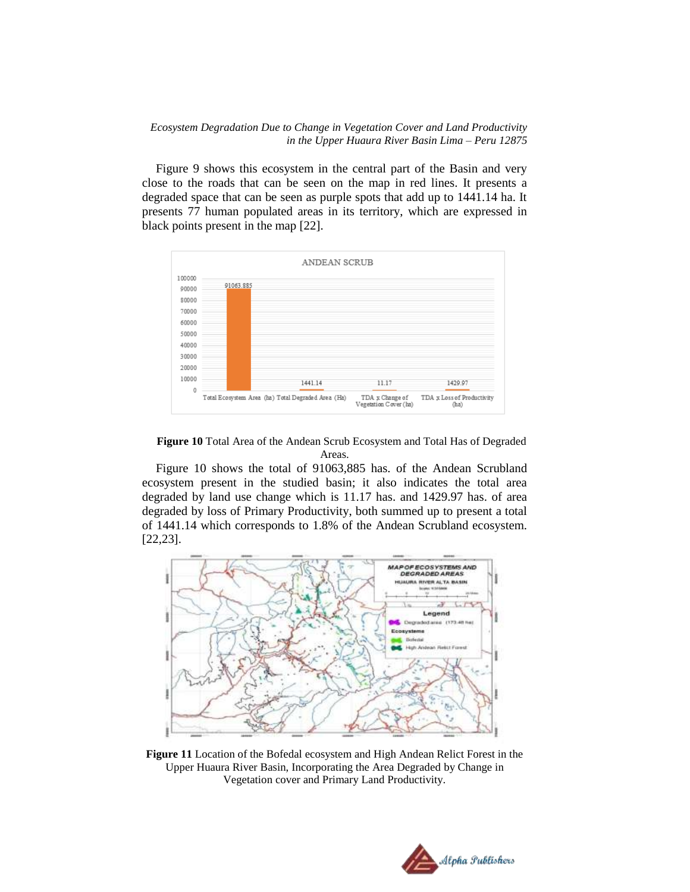Figure 9 shows this ecosystem in the central part of the Basin and very close to the roads that can be seen on the map in red lines. It presents a degraded space that can be seen as purple spots that add up to 1441.14 ha. It presents 77 human populated areas in its territory, which are expressed in black points present in the map [22].



**Figure 10** Total Area of the Andean Scrub Ecosystem and Total Has of Degraded Areas.

Figure 10 shows the total of 91063,885 has. of the Andean Scrubland ecosystem present in the studied basin; it also indicates the total area degraded by land use change which is 11.17 has. and 1429.97 has. of area degraded by loss of Primary Productivity, both summed up to present a total of 1441.14 which corresponds to 1.8% of the Andean Scrubland ecosystem. [22,23].



**Figure 11** Location of the Bofedal ecosystem and High Andean Relict Forest in the Upper Huaura River Basin, Incorporating the Area Degraded by Change in Vegetation cover and Primary Land Productivity.

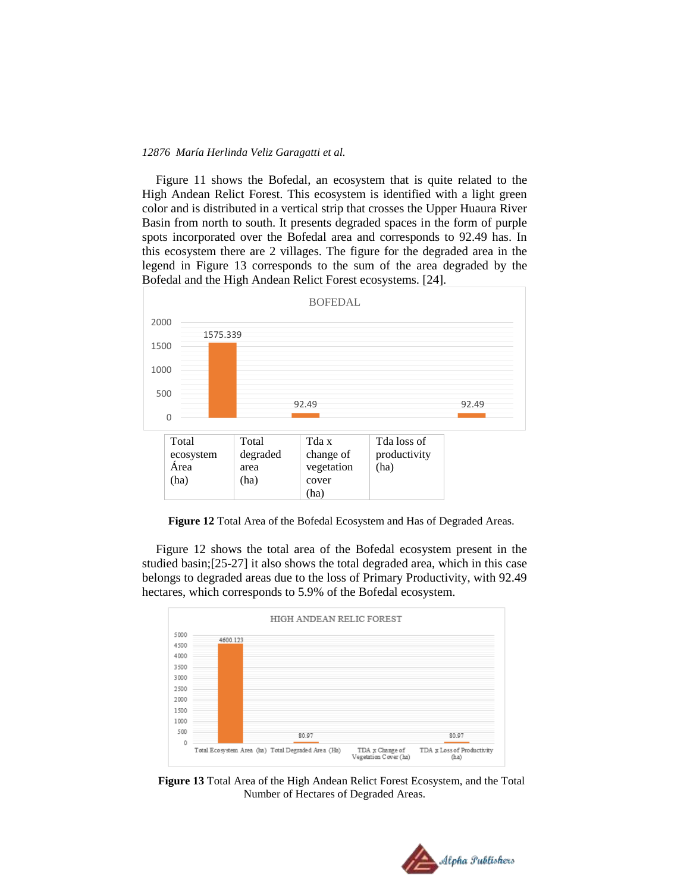Figure 11 shows the Bofedal, an ecosystem that is quite related to the High Andean Relict Forest. This ecosystem is identified with a light green color and is distributed in a vertical strip that crosses the Upper Huaura River Basin from north to south. It presents degraded spaces in the form of purple spots incorporated over the Bofedal area and corresponds to 92.49 has. In this ecosystem there are 2 villages. The figure for the degraded area in the legend in Figure 13 corresponds to the sum of the area degraded by the Bofedal and the High Andean Relict Forest ecosystems. [24].



**Figure 12** Total Area of the Bofedal Ecosystem and Has of Degraded Areas.

Figure 12 shows the total area of the Bofedal ecosystem present in the studied basin;[25-27] it also shows the total degraded area, which in this case belongs to degraded areas due to the loss of Primary Productivity, with 92.49 hectares, which corresponds to 5.9% of the Bofedal ecosystem.



**Figure 13** Total Area of the High Andean Relict Forest Ecosystem, and the Total Number of Hectares of Degraded Areas.

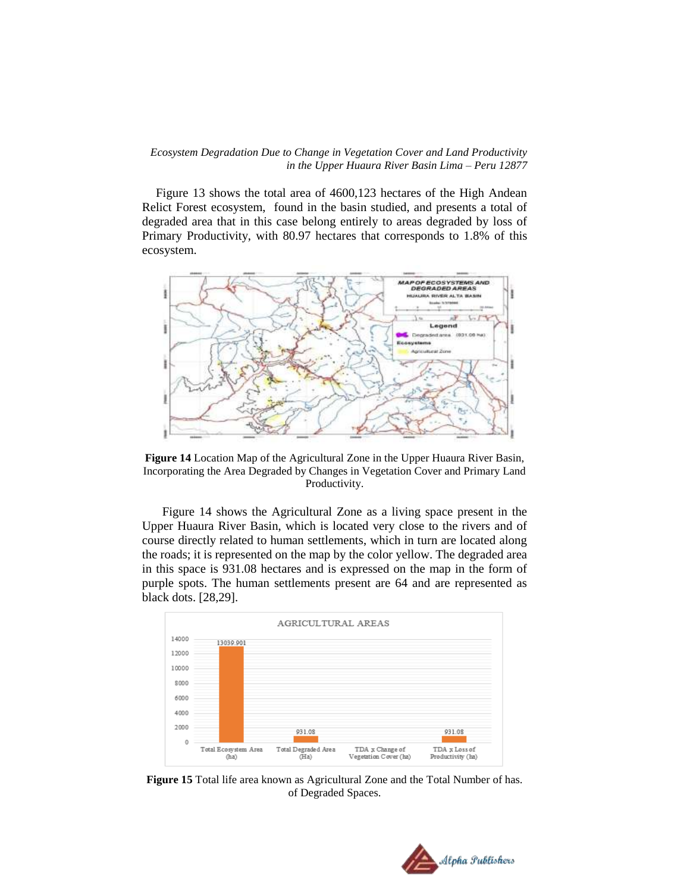Figure 13 shows the total area of 4600,123 hectares of the High Andean Relict Forest ecosystem, found in the basin studied, and presents a total of degraded area that in this case belong entirely to areas degraded by loss of Primary Productivity, with 80.97 hectares that corresponds to 1.8% of this ecosystem.



**Figure 14** Location Map of the Agricultural Zone in the Upper Huaura River Basin, Incorporating the Area Degraded by Changes in Vegetation Cover and Primary Land Productivity.

Figure 14 shows the Agricultural Zone as a living space present in the Upper Huaura River Basin, which is located very close to the rivers and of course directly related to human settlements, which in turn are located along the roads; it is represented on the map by the color yellow. The degraded area in this space is 931.08 hectares and is expressed on the map in the form of purple spots. The human settlements present are 64 and are represented as black dots. [28,29].



**Figure 15** Total life area known as Agricultural Zone and the Total Number of has. of Degraded Spaces.

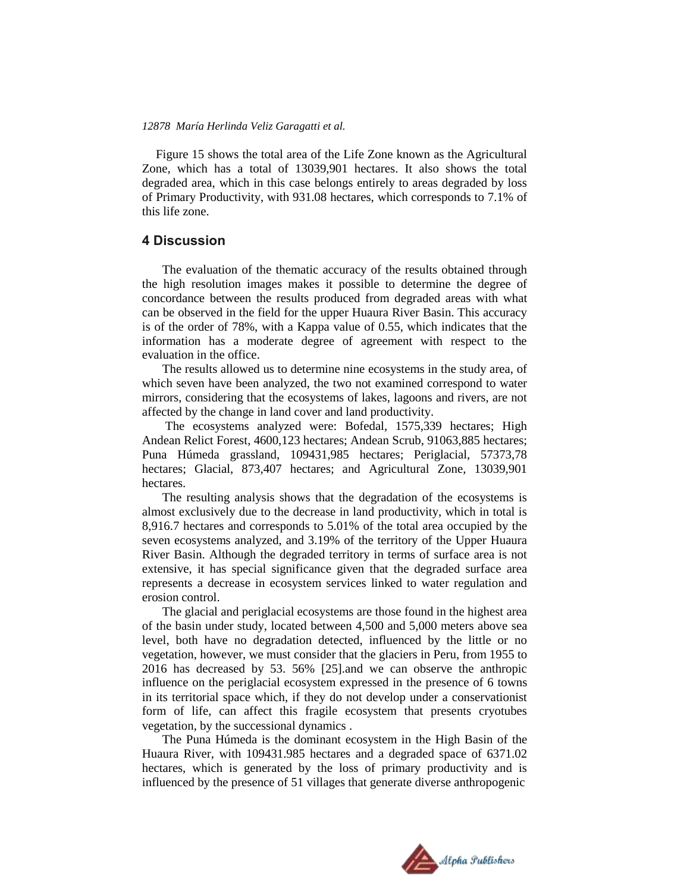Figure 15 shows the total area of the Life Zone known as the Agricultural Zone, which has a total of 13039,901 hectares. It also shows the total degraded area, which in this case belongs entirely to areas degraded by loss of Primary Productivity, with 931.08 hectares, which corresponds to 7.1% of this life zone.

### **4 Discussion**

The evaluation of the thematic accuracy of the results obtained through the high resolution images makes it possible to determine the degree of concordance between the results produced from degraded areas with what can be observed in the field for the upper Huaura River Basin. This accuracy is of the order of 78%, with a Kappa value of 0.55, which indicates that the information has a moderate degree of agreement with respect to the evaluation in the office.

The results allowed us to determine nine ecosystems in the study area, of which seven have been analyzed, the two not examined correspond to water mirrors, considering that the ecosystems of lakes, lagoons and rivers, are not affected by the change in land cover and land productivity.

The ecosystems analyzed were: Bofedal, 1575,339 hectares; High Andean Relict Forest, 4600,123 hectares; Andean Scrub, 91063,885 hectares; Puna Húmeda grassland, 109431,985 hectares; Periglacial, 57373,78 hectares; Glacial, 873,407 hectares; and Agricultural Zone, 13039,901 hectares.

The resulting analysis shows that the degradation of the ecosystems is almost exclusively due to the decrease in land productivity, which in total is 8,916.7 hectares and corresponds to 5.01% of the total area occupied by the seven ecosystems analyzed, and 3.19% of the territory of the Upper Huaura River Basin. Although the degraded territory in terms of surface area is not extensive, it has special significance given that the degraded surface area represents a decrease in ecosystem services linked to water regulation and erosion control.

The glacial and periglacial ecosystems are those found in the highest area of the basin under study, located between 4,500 and 5,000 meters above sea level, both have no degradation detected, influenced by the little or no vegetation, however, we must consider that the glaciers in Peru, from 1955 to 2016 has decreased by 53. 56% [25].and we can observe the anthropic influence on the periglacial ecosystem expressed in the presence of 6 towns in its territorial space which, if they do not develop under a conservationist form of life, can affect this fragile ecosystem that presents cryotubes vegetation, by the successional dynamics .

The Puna Húmeda is the dominant ecosystem in the High Basin of the Huaura River, with 109431.985 hectares and a degraded space of 6371.02 hectares, which is generated by the loss of primary productivity and is influenced by the presence of 51 villages that generate diverse anthropogenic

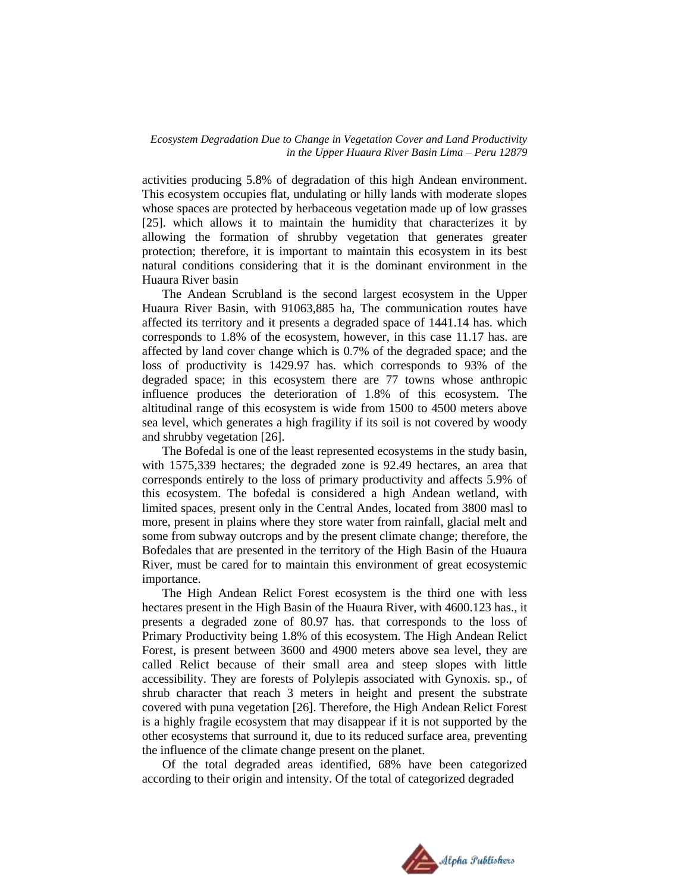activities producing 5.8% of degradation of this high Andean environment. This ecosystem occupies flat, undulating or hilly lands with moderate slopes whose spaces are protected by herbaceous vegetation made up of low grasses [25]. which allows it to maintain the humidity that characterizes it by allowing the formation of shrubby vegetation that generates greater protection; therefore, it is important to maintain this ecosystem in its best natural conditions considering that it is the dominant environment in the Huaura River basin

The Andean Scrubland is the second largest ecosystem in the Upper Huaura River Basin, with 91063,885 ha, The communication routes have affected its territory and it presents a degraded space of 1441.14 has. which corresponds to 1.8% of the ecosystem, however, in this case 11.17 has. are affected by land cover change which is 0.7% of the degraded space; and the loss of productivity is 1429.97 has. which corresponds to 93% of the degraded space; in this ecosystem there are 77 towns whose anthropic influence produces the deterioration of 1.8% of this ecosystem. The altitudinal range of this ecosystem is wide from 1500 to 4500 meters above sea level, which generates a high fragility if its soil is not covered by woody and shrubby vegetation [26].

The Bofedal is one of the least represented ecosystems in the study basin, with 1575,339 hectares; the degraded zone is 92.49 hectares, an area that corresponds entirely to the loss of primary productivity and affects 5.9% of this ecosystem. The bofedal is considered a high Andean wetland, with limited spaces, present only in the Central Andes, located from 3800 masl to more, present in plains where they store water from rainfall, glacial melt and some from subway outcrops and by the present climate change; therefore, the Bofedales that are presented in the territory of the High Basin of the Huaura River, must be cared for to maintain this environment of great ecosystemic importance.

The High Andean Relict Forest ecosystem is the third one with less hectares present in the High Basin of the Huaura River, with 4600.123 has., it presents a degraded zone of 80.97 has. that corresponds to the loss of Primary Productivity being 1.8% of this ecosystem. The High Andean Relict Forest, is present between 3600 and 4900 meters above sea level, they are called Relict because of their small area and steep slopes with little accessibility. They are forests of Polylepis associated with Gynoxis. sp., of shrub character that reach 3 meters in height and present the substrate covered with puna vegetation [26]. Therefore, the High Andean Relict Forest is a highly fragile ecosystem that may disappear if it is not supported by the other ecosystems that surround it, due to its reduced surface area, preventing the influence of the climate change present on the planet.

Of the total degraded areas identified, 68% have been categorized according to their origin and intensity. Of the total of categorized degraded

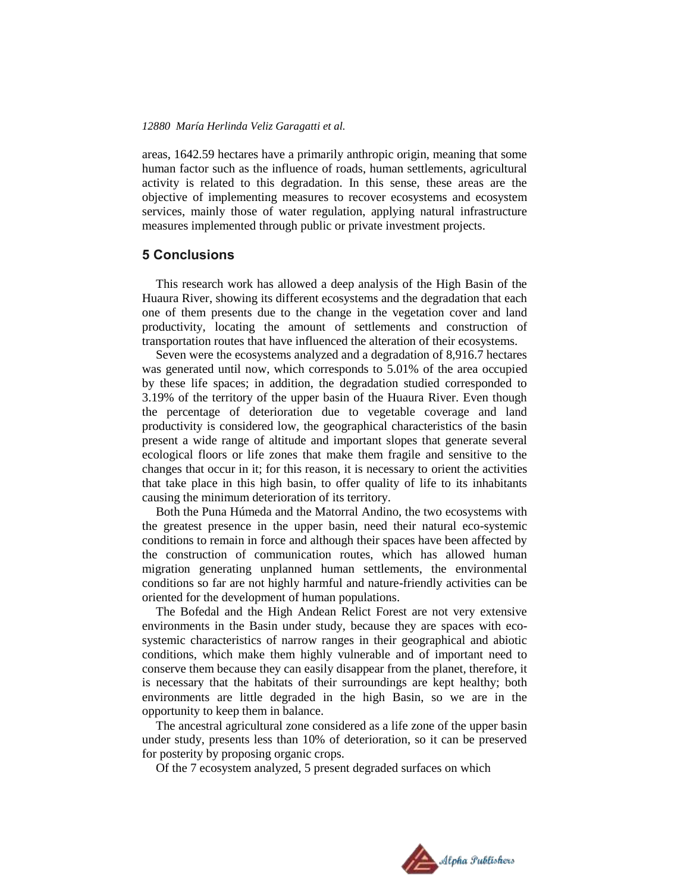areas, 1642.59 hectares have a primarily anthropic origin, meaning that some human factor such as the influence of roads, human settlements, agricultural activity is related to this degradation. In this sense, these areas are the objective of implementing measures to recover ecosystems and ecosystem services, mainly those of water regulation, applying natural infrastructure measures implemented through public or private investment projects.

### **5 Conclusions**

This research work has allowed a deep analysis of the High Basin of the Huaura River, showing its different ecosystems and the degradation that each one of them presents due to the change in the vegetation cover and land productivity, locating the amount of settlements and construction of transportation routes that have influenced the alteration of their ecosystems.

Seven were the ecosystems analyzed and a degradation of 8,916.7 hectares was generated until now, which corresponds to 5.01% of the area occupied by these life spaces; in addition, the degradation studied corresponded to 3.19% of the territory of the upper basin of the Huaura River. Even though the percentage of deterioration due to vegetable coverage and land productivity is considered low, the geographical characteristics of the basin present a wide range of altitude and important slopes that generate several ecological floors or life zones that make them fragile and sensitive to the changes that occur in it; for this reason, it is necessary to orient the activities that take place in this high basin, to offer quality of life to its inhabitants causing the minimum deterioration of its territory.

Both the Puna Húmeda and the Matorral Andino, the two ecosystems with the greatest presence in the upper basin, need their natural eco-systemic conditions to remain in force and although their spaces have been affected by the construction of communication routes, which has allowed human migration generating unplanned human settlements, the environmental conditions so far are not highly harmful and nature-friendly activities can be oriented for the development of human populations.

The Bofedal and the High Andean Relict Forest are not very extensive environments in the Basin under study, because they are spaces with ecosystemic characteristics of narrow ranges in their geographical and abiotic conditions, which make them highly vulnerable and of important need to conserve them because they can easily disappear from the planet, therefore, it is necessary that the habitats of their surroundings are kept healthy; both environments are little degraded in the high Basin, so we are in the opportunity to keep them in balance.

The ancestral agricultural zone considered as a life zone of the upper basin under study, presents less than 10% of deterioration, so it can be preserved for posterity by proposing organic crops.

Of the 7 ecosystem analyzed, 5 present degraded surfaces on which

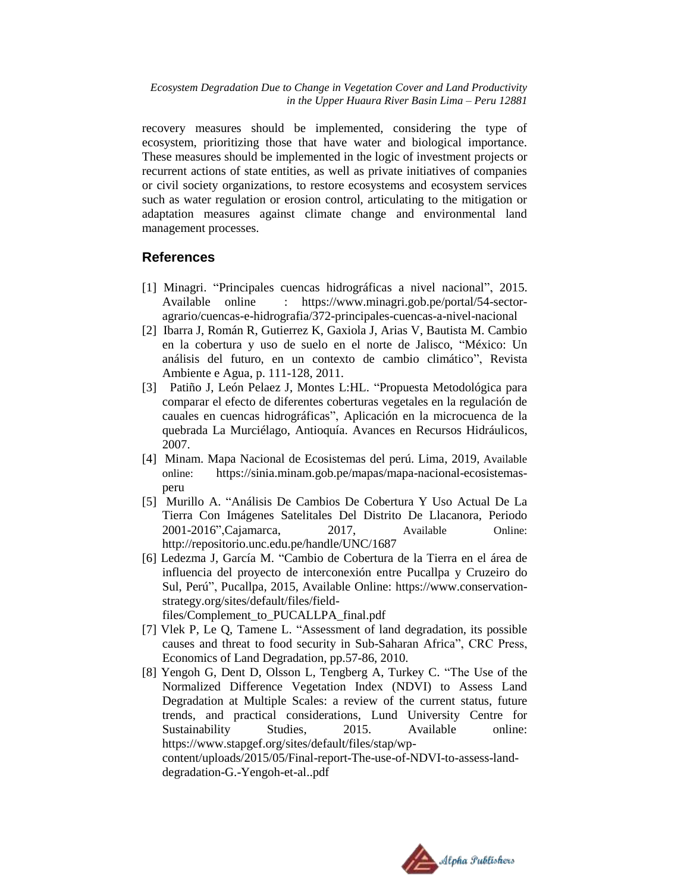recovery measures should be implemented, considering the type of ecosystem, prioritizing those that have water and biological importance. These measures should be implemented in the logic of investment projects or recurrent actions of state entities, as well as private initiatives of companies or civil society organizations, to restore ecosystems and ecosystem services such as water regulation or erosion control, articulating to the mitigation or adaptation measures against climate change and environmental land management processes.

# **References**

- [1] Minagri. "Principales cuencas hidrográficas a nivel nacional", 2015. Available online : [https://www.minagri.gob.pe/portal/54-sector](https://www.minagri.gob.pe/portal/54-sector-agrario/cuencas-e-hidrografia/372-principales-cuencas-a-nivel-nacional)[agrario/cuencas-e-hidrografia/372-principales-cuencas-a-nivel-nacional](https://www.minagri.gob.pe/portal/54-sector-agrario/cuencas-e-hidrografia/372-principales-cuencas-a-nivel-nacional)
- [2] Ibarra J, Román R, Gutierrez K, Gaxiola J, Arias V, Bautista M. Cambio en la cobertura y uso de suelo en el norte de Jalisco, "México: Un análisis del futuro, en un contexto de cambio climático", Revista Ambiente e Agua, p. 111-128, 2011.
- [3] Patiño J, León Pelaez J, Montes L:HL. "Propuesta Metodológica para comparar el efecto de diferentes coberturas vegetales en la regulación de cauales en cuencas hidrográficas", Aplicación en la microcuenca de la quebrada La Murciélago, Antioquía. Avances en Recursos Hidráulicos, 2007.
- [4] Minam. Mapa Nacional de Ecosistemas del perú. Lima, 2019, Available online: https://sinia.minam.gob.pe/mapas/mapa-nacional-ecosistemasperu
- [5] Murillo A. "Análisis De Cambios De Cobertura Y Uso Actual De La Tierra Con Imágenes Satelitales Del Distrito De Llacanora, Periodo 2001-2016",Cajamarca, 2017, Available Online: http://repositorio.unc.edu.pe/handle/UNC/1687
- [6] Ledezma J, García M. "Cambio de Cobertura de la Tierra en el área de influencia del proyecto de interconexión entre Pucallpa y Cruzeiro do Sul, Perú", Pucallpa, 2015, Available Online: https://www.conservationstrategy.org/sites/default/files/field-

files/Complement\_to\_PUCALLPA\_final.pdf

- [7] Vlek P, Le Q, Tamene L. "Assessment of land degradation, its possible causes and threat to food security in Sub-Saharan Africa", CRC Press, Economics of Land Degradation, pp.57-86, 2010.
- [8] Yengoh G, Dent D, Olsson L, Tengberg A, Turkey C. "The Use of the Normalized Difference Vegetation Index (NDVI) to Assess Land Degradation at Multiple Scales: a review of the current status, future trends, and practical considerations, Lund University Centre for Sustainability Studies, 2015. Available online: https://www.stapgef.org/sites/default/files/stap/wpcontent/uploads/2015/05/Final-report-The-use-of-NDVI-to-assess-landdegradation-G.-Yengoh-et-al..pdf

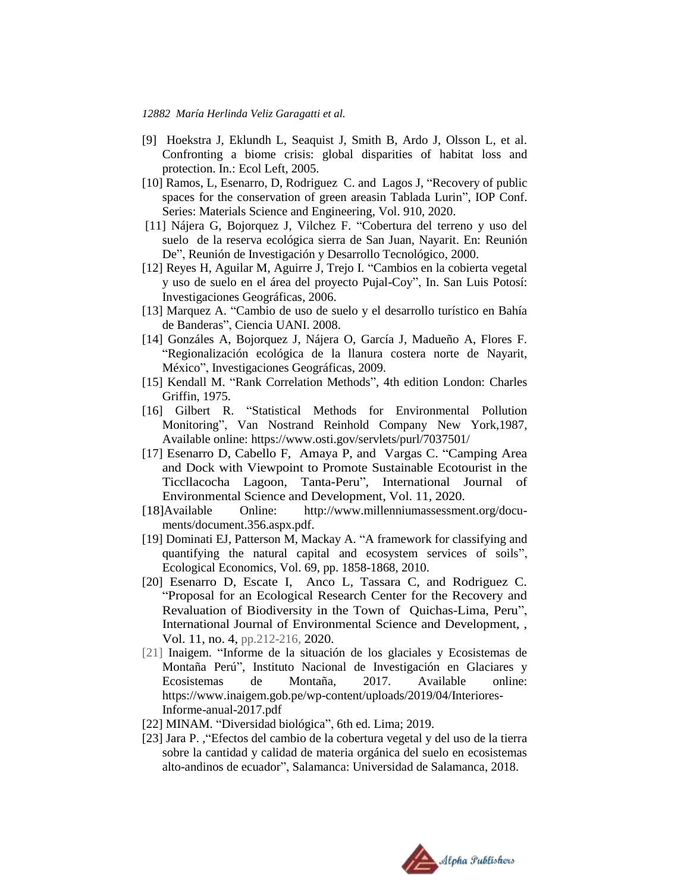- [9] Hoekstra J, Eklundh L, Seaquist J, Smith B, Ardo J, Olsson L, et al. Confronting a biome crisis: global disparities of habitat loss and protection. In.: Ecol Left, 2005.
- [10] Ramos, L, Esenarro, D, Rodriguez C. and Lagos J, "Recovery of public spaces for the conservation of green areasin Tablada Lurin", IOP Conf. Series: Materials Science and Engineering, Vol. 910, 2020.
- [11] Nájera G, Bojorquez J, Vilchez F. "Cobertura del terreno y uso del suelo de la reserva ecológica sierra de San Juan, Nayarit. En: Reunión De", Reunión de Investigación y Desarrollo Tecnológico, 2000.
- [12] Reyes H, Aguilar M, Aguirre J, Trejo I. "Cambios en la cobierta vegetal y uso de suelo en el área del proyecto Pujal-Coy", In. San Luis Potosí: Investigaciones Geográficas, 2006.
- [13] Marquez A. "Cambio de uso de suelo y el desarrollo turístico en Bahía de Banderas", Ciencia UANI. 2008.
- [14] Gonzáles A, Bojorquez J, Nájera O, García J, Madueño A, Flores F. "Regionalización ecológica de la llanura costera norte de Nayarit, México", Investigaciones Geográficas, 2009.
- [15] Kendall M. "Rank Correlation Methods", 4th edition London: Charles Griffin, 1975.
- [16] Gilbert R. "Statistical Methods for Environmental Pollution Monitoring", Van Nostrand Reinhold Company New York,1987, Available online: https://www.osti.gov/servlets/purl/7037501/
- [17] Esenarro D, Cabello F, Amaya P, and Vargas C. "Camping Area and Dock with Viewpoint to Promote Sustainable Ecotourist in the Ticcllacocha Lagoon, Tanta-Peru", International Journal of Environmental Science and Development, Vol. 11, 2020.
- [18]Available Online: [http://www.millenniumassessment.org/docu](http://www.millenniumassessment.org/docu-ments/document.356.aspx.pdf)[ments/document.356.aspx.pdf.](http://www.millenniumassessment.org/docu-ments/document.356.aspx.pdf)
- [19] Dominati EJ, Patterson M, Mackay A. "A framework for classifying and quantifying the natural capital and ecosystem services of soils", Ecological Economics, Vol. 69, pp. 1858-1868, 2010.
- [20] Esenarro D, Escate I, Anco L, Tassara C, and Rodriguez C. "Proposal for an Ecological Research Center for the Recovery and Revaluation of Biodiversity in the Town of Quichas-Lima, Peru", International Journal of Environmental Science and Development, , Vol. 11, no. 4, pp.212-216, 2020.
- [21] Inaigem. "Informe de la situación de los glaciales y Ecosistemas de Montaña Perú", Instituto Nacional de Investigación en Glaciares y Ecosistemas de Montaña, 2017. Available online: https://www.inaigem.gob.pe/wp-content/uploads/2019/04/Interiores-Informe-anual-2017.pdf
- [22] MINAM. "Diversidad biológica", 6th ed. Lima; 2019.
- [23] Jara P. ,"Efectos del cambio de la cobertura vegetal y del uso de la tierra sobre la cantidad y calidad de materia orgánica del suelo en ecosistemas alto-andinos de ecuador", Salamanca: Universidad de Salamanca, 2018.

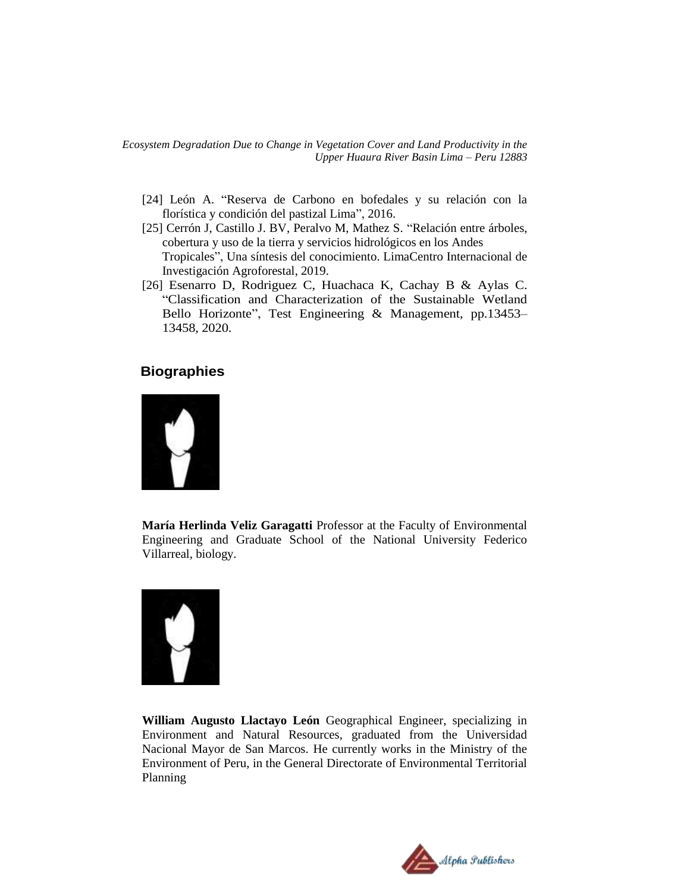- [24] León A. "Reserva de Carbono en bofedales y su relación con la florística y condición del pastizal Lima", 2016.
- [25] Cerrón J, Castillo J. BV, Peralvo M, Mathez S. "Relación entre árboles, cobertura y uso de la tierra y servicios hidrológicos en los Andes Tropicales", Una síntesis del conocimiento. LimaCentro Internacional de Investigación Agroforestal, 2019.
- [26] Esenarro D, Rodriguez C, Huachaca K, Cachay B & Aylas C. "Classification and Characterization of the Sustainable Wetland Bello Horizonte", Test Engineering & Management, pp.13453– 13458, 2020.

# **Biographies**



**María Herlinda Veliz Garagatti** Professor at the Faculty of Environmental Engineering and Graduate School of the National University Federico Villarreal, biology.



**William Augusto Llactayo León** Geographical Engineer, specializing in Environment and Natural Resources, graduated from the Universidad Nacional Mayor de San Marcos. He currently works in the Ministry of the Environment of Peru, in the General Directorate of Environmental Territorial Planning